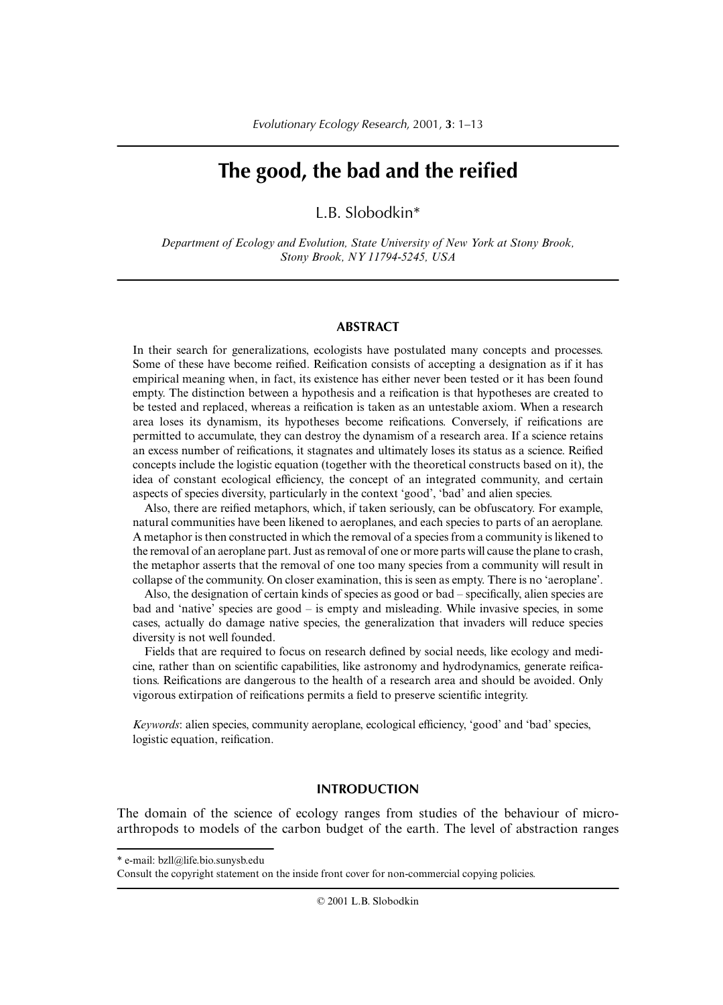# **The good, the bad and the reified**

L.B. Slobodkin\*

*Department of Ecology and Evolution, State University of New York at Stony Brook, Stony Brook, NY 11794-5245, USA*

#### **ABSTRACT**

In their search for generalizations, ecologists have postulated many concepts and processes. Some of these have become reified. Reification consists of accepting a designation as if it has empirical meaning when, in fact, its existence has either never been tested or it has been found empty. The distinction between a hypothesis and a reification is that hypotheses are created to be tested and replaced, whereas a reification is taken as an untestable axiom. When a research area loses its dynamism, its hypotheses become reifications. Conversely, if reifications are permitted to accumulate, they can destroy the dynamism of a research area. If a science retains an excess number of reifications, it stagnates and ultimately loses its status as a science. Reified concepts include the logistic equation (together with the theoretical constructs based on it), the idea of constant ecological efficiency, the concept of an integrated community, and certain aspects of species diversity, particularly in the context 'good', 'bad' and alien species.

Also, there are reified metaphors, which, if taken seriously, can be obfuscatory. For example, natural communities have been likened to aeroplanes, and each species to parts of an aeroplane. A metaphor is then constructed in which the removal of a species from a community is likened to the removal of an aeroplane part. Just as removal of one or more parts will cause the plane to crash, the metaphor asserts that the removal of one too many species from a community will result in collapse of the community. On closer examination, this is seen as empty. There is no 'aeroplane'.

Also, the designation of certain kinds of species as good or bad – specifically, alien species are bad and 'native' species are good – is empty and misleading. While invasive species, in some cases, actually do damage native species, the generalization that invaders will reduce species diversity is not well founded.

Fields that are required to focus on research defined by social needs, like ecology and medicine, rather than on scientific capabilities, like astronomy and hydrodynamics, generate reifications. Reifications are dangerous to the health of a research area and should be avoided. Only vigorous extirpation of reifications permits a field to preserve scientific integrity.

*Keywords*: alien species, community aeroplane, ecological efficiency, 'good' and 'bad' species, logistic equation, reification.

## **INTRODUCTION**

The domain of the science of ecology ranges from studies of the behaviour of microarthropods to models of the carbon budget of the earth. The level of abstraction ranges

<sup>\*</sup> e-mail: bzll@life.bio.sunysb.edu

Consult the copyright statement on the inside front cover for non-commercial copying policies.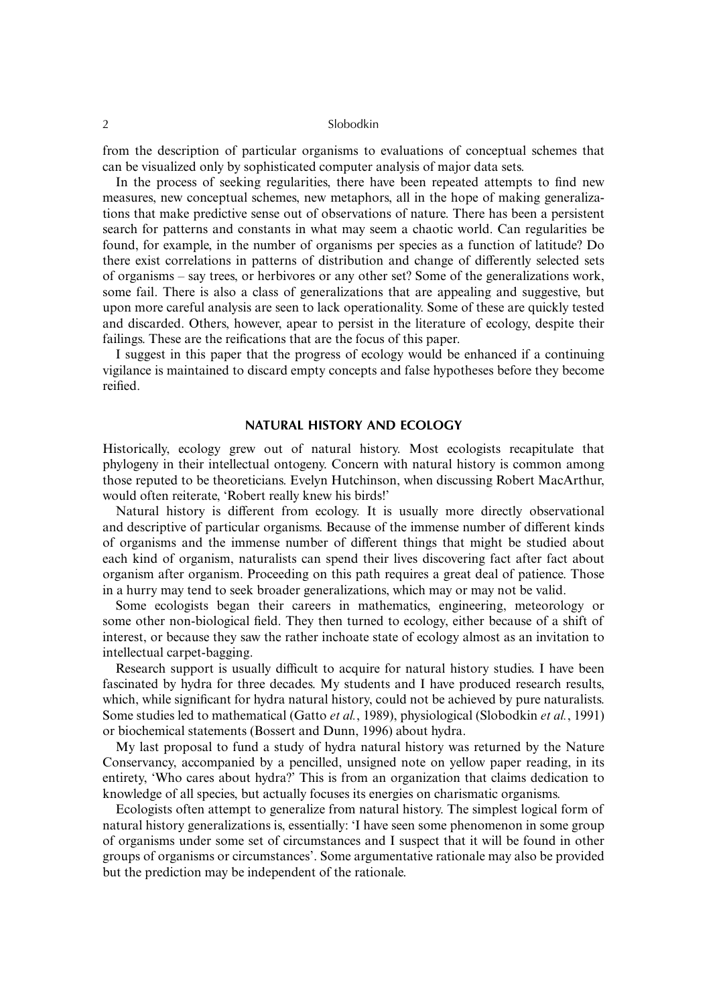from the description of particular organisms to evaluations of conceptual schemes that can be visualized only by sophisticated computer analysis of major data sets.

In the process of seeking regularities, there have been repeated attempts to find new measures, new conceptual schemes, new metaphors, all in the hope of making generalizations that make predictive sense out of observations of nature. There has been a persistent search for patterns and constants in what may seem a chaotic world. Can regularities be found, for example, in the number of organisms per species as a function of latitude? Do there exist correlations in patterns of distribution and change of differently selected sets of organisms – say trees, or herbivores or any other set? Some of the generalizations work, some fail. There is also a class of generalizations that are appealing and suggestive, but upon more careful analysis are seen to lack operationality. Some of these are quickly tested and discarded. Others, however, apear to persist in the literature of ecology, despite their failings. These are the reifications that are the focus of this paper.

I suggest in this paper that the progress of ecology would be enhanced if a continuing vigilance is maintained to discard empty concepts and false hypotheses before they become reified.

#### **NATURAL HISTORY AND ECOLOGY**

Historically, ecology grew out of natural history. Most ecologists recapitulate that phylogeny in their intellectual ontogeny. Concern with natural history is common among those reputed to be theoreticians. Evelyn Hutchinson, when discussing Robert MacArthur, would often reiterate, 'Robert really knew his birds!'

Natural history is different from ecology. It is usually more directly observational and descriptive of particular organisms. Because of the immense number of different kinds of organisms and the immense number of different things that might be studied about each kind of organism, naturalists can spend their lives discovering fact after fact about organism after organism. Proceeding on this path requires a great deal of patience. Those in a hurry may tend to seek broader generalizations, which may or may not be valid.

Some ecologists began their careers in mathematics, engineering, meteorology or some other non-biological field. They then turned to ecology, either because of a shift of interest, or because they saw the rather inchoate state of ecology almost as an invitation to intellectual carpet-bagging.

Research support is usually difficult to acquire for natural history studies. I have been fascinated by hydra for three decades. My students and I have produced research results, which, while significant for hydra natural history, could not be achieved by pure naturalists. Some studies led to mathematical (Gatto *et al.*, 1989), physiological (Slobodkin *et al.*, 1991) or biochemical statements (Bossert and Dunn, 1996) about hydra.

My last proposal to fund a study of hydra natural history was returned by the Nature Conservancy, accompanied by a pencilled, unsigned note on yellow paper reading, in its entirety, 'Who cares about hydra?' This is from an organization that claims dedication to knowledge of all species, but actually focuses its energies on charismatic organisms.

Ecologists often attempt to generalize from natural history. The simplest logical form of natural history generalizations is, essentially: 'I have seen some phenomenon in some group of organisms under some set of circumstances and I suspect that it will be found in other groups of organisms or circumstances'. Some argumentative rationale may also be provided but the prediction may be independent of the rationale.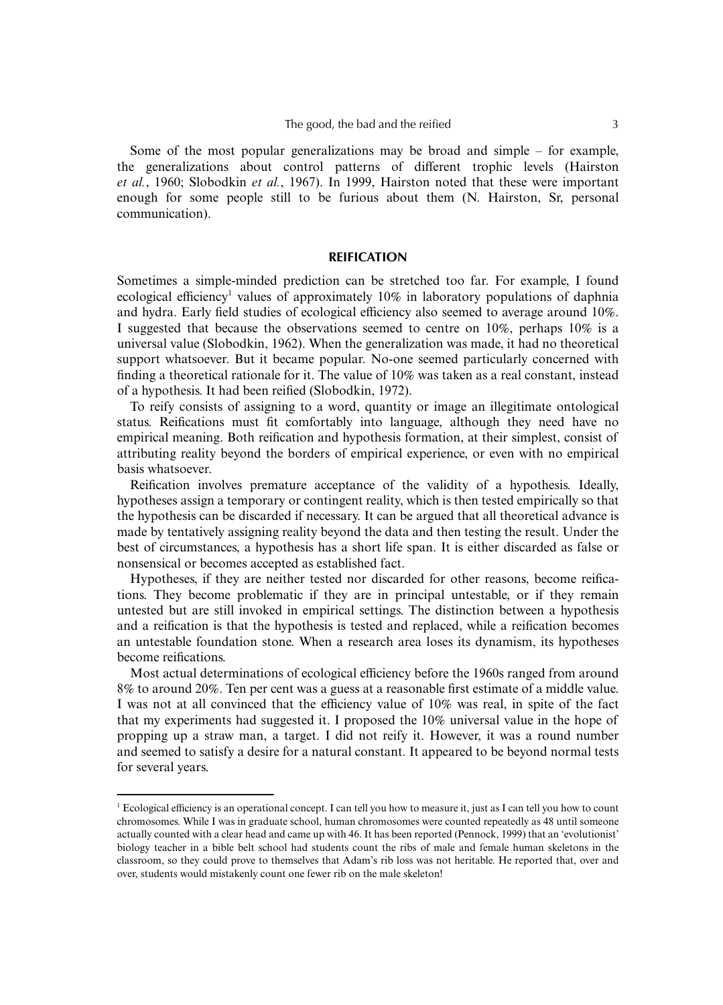Some of the most popular generalizations may be broad and simple  $-$  for example. the generalizations about control patterns of different trophic levels (Hairston *et al.*, 1960; Slobodkin *et al.*, 1967). In 1999, Hairston noted that these were important enough for some people still to be furious about them (N. Hairston, Sr, personal communication).

#### **REIFICATION**

Sometimes a simple-minded prediction can be stretched too far. For example, I found ecological efficiency<sup>1</sup> values of approximately 10% in laboratory populations of daphnia and hydra. Early field studies of ecological efficiency also seemed to average around 10%. I suggested that because the observations seemed to centre on 10%, perhaps 10% is a universal value (Slobodkin, 1962). When the generalization was made, it had no theoretical support whatsoever. But it became popular. No-one seemed particularly concerned with finding a theoretical rationale for it. The value of 10% was taken as a real constant, instead of a hypothesis. It had been reified (Slobodkin, 1972).

To reify consists of assigning to a word, quantity or image an illegitimate ontological status. Reifications must fit comfortably into language, although they need have no empirical meaning. Both reification and hypothesis formation, at their simplest, consist of attributing reality beyond the borders of empirical experience, or even with no empirical basis whatsoever.

Reification involves premature acceptance of the validity of a hypothesis. Ideally, hypotheses assign a temporary or contingent reality, which is then tested empirically so that the hypothesis can be discarded if necessary. It can be argued that all theoretical advance is made by tentatively assigning reality beyond the data and then testing the result. Under the best of circumstances, a hypothesis has a short life span. It is either discarded as false or nonsensical or becomes accepted as established fact.

Hypotheses, if they are neither tested nor discarded for other reasons, become reifications. They become problematic if they are in principal untestable, or if they remain untested but are still invoked in empirical settings. The distinction between a hypothesis and a reification is that the hypothesis is tested and replaced, while a reification becomes an untestable foundation stone. When a research area loses its dynamism, its hypotheses become reifications.

Most actual determinations of ecological efficiency before the 1960s ranged from around 8% to around 20%. Ten per cent was a guess at a reasonable first estimate of a middle value. I was not at all convinced that the efficiency value of 10% was real, in spite of the fact that my experiments had suggested it. I proposed the 10% universal value in the hope of propping up a straw man, a target. I did not reify it. However, it was a round number and seemed to satisfy a desire for a natural constant. It appeared to be beyond normal tests for several years.

<sup>1</sup> Ecological efficiency is an operational concept. I can tell you how to measure it, just as I can tell you how to count chromosomes. While I was in graduate school, human chromosomes were counted repeatedly as 48 until someone actually counted with a clear head and came up with 46. It has been reported (Pennock, 1999) that an 'evolutionist' biology teacher in a bible belt school had students count the ribs of male and female human skeletons in the classroom, so they could prove to themselves that Adam's rib loss was not heritable. He reported that, over and over, students would mistakenly count one fewer rib on the male skeleton!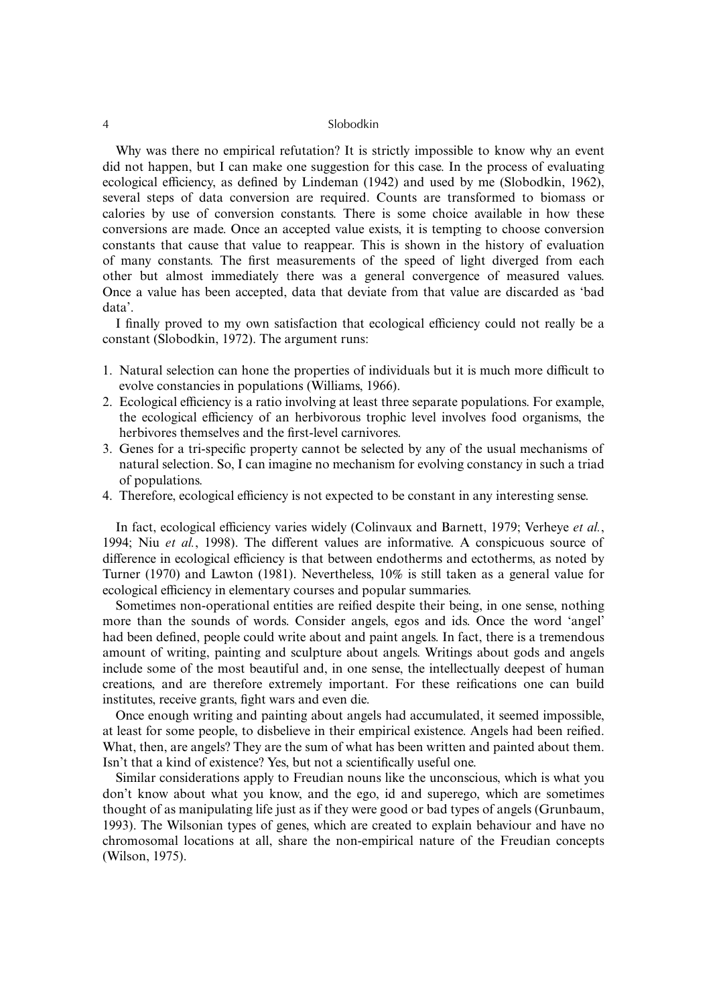#### 4 Slobodkin

Why was there no empirical refutation? It is strictly impossible to know why an event did not happen, but I can make one suggestion for this case. In the process of evaluating ecological efficiency, as defined by Lindeman (1942) and used by me (Slobodkin, 1962), several steps of data conversion are required. Counts are transformed to biomass or calories by use of conversion constants. There is some choice available in how these conversions are made. Once an accepted value exists, it is tempting to choose conversion constants that cause that value to reappear. This is shown in the history of evaluation of many constants. The first measurements of the speed of light diverged from each other but almost immediately there was a general convergence of measured values. Once a value has been accepted, data that deviate from that value are discarded as 'bad data'.

I finally proved to my own satisfaction that ecological efficiency could not really be a constant (Slobodkin, 1972). The argument runs:

- 1. Natural selection can hone the properties of individuals but it is much more difficult to evolve constancies in populations (Williams, 1966).
- 2. Ecological efficiency is a ratio involving at least three separate populations. For example, the ecological efficiency of an herbivorous trophic level involves food organisms, the herbivores themselves and the first-level carnivores.
- 3. Genes for a tri-specific property cannot be selected by any of the usual mechanisms of natural selection. So, I can imagine no mechanism for evolving constancy in such a triad of populations.
- 4. Therefore, ecological efficiency is not expected to be constant in any interesting sense.

In fact, ecological efficiency varies widely (Colinvaux and Barnett, 1979; Verheye *et al.*, 1994; Niu *et al.*, 1998). The different values are informative. A conspicuous source of difference in ecological efficiency is that between endotherms and ectotherms, as noted by Turner (1970) and Lawton (1981). Nevertheless, 10% is still taken as a general value for ecological efficiency in elementary courses and popular summaries.

Sometimes non-operational entities are reified despite their being, in one sense, nothing more than the sounds of words. Consider angels, egos and ids. Once the word 'angel' had been defined, people could write about and paint angels. In fact, there is a tremendous amount of writing, painting and sculpture about angels. Writings about gods and angels include some of the most beautiful and, in one sense, the intellectually deepest of human creations, and are therefore extremely important. For these reifications one can build institutes, receive grants, fight wars and even die.

Once enough writing and painting about angels had accumulated, it seemed impossible, at least for some people, to disbelieve in their empirical existence. Angels had been reified. What, then, are angels? They are the sum of what has been written and painted about them. Isn't that a kind of existence? Yes, but not a scientifically useful one.

Similar considerations apply to Freudian nouns like the unconscious, which is what you don't know about what you know, and the ego, id and superego, which are sometimes thought of as manipulating life just as if they were good or bad types of angels (Grunbaum, 1993). The Wilsonian types of genes, which are created to explain behaviour and have no chromosomal locations at all, share the non-empirical nature of the Freudian concepts (Wilson, 1975).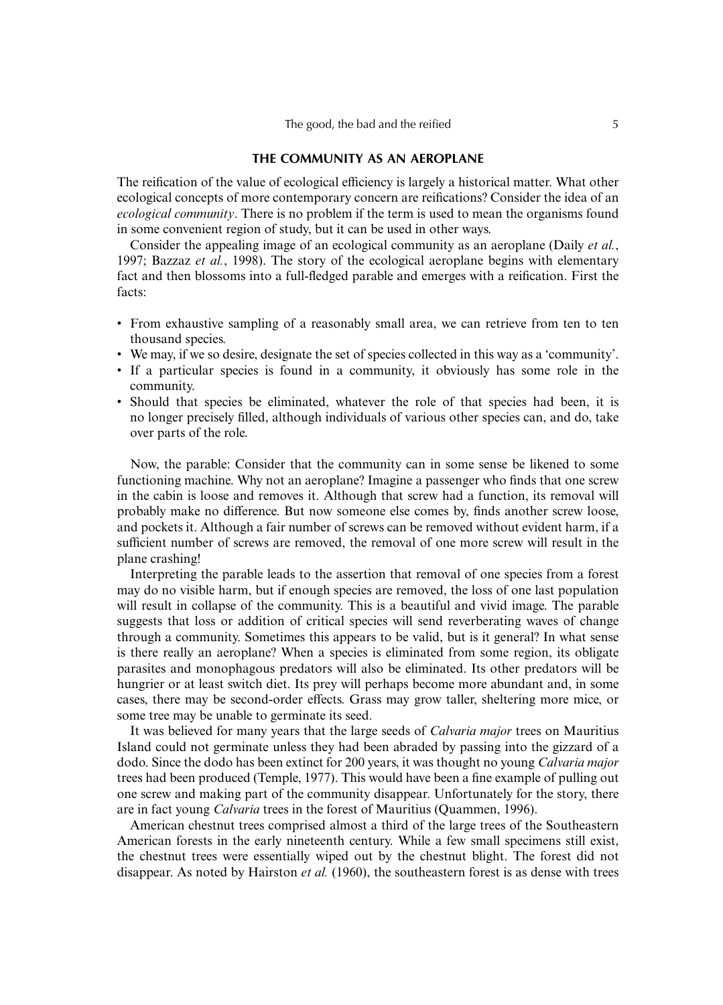## **THE COMMUNITY AS AN AEROPLANE**

The reification of the value of ecological efficiency is largely a historical matter. What other ecological concepts of more contemporary concern are reifications? Consider the idea of an *ecological community*. There is no problem if the term is used to mean the organisms found in some convenient region of study, but it can be used in other ways.

Consider the appealing image of an ecological community as an aeroplane (Daily *et al.*, 1997; Bazzaz *et al.*, 1998). The story of the ecological aeroplane begins with elementary fact and then blossoms into a full-fledged parable and emerges with a reification. First the facts:

- From exhaustive sampling of a reasonably small area, we can retrieve from ten to ten thousand species.
- We may, if we so desire, designate the set of species collected in this way as a 'community'.
- If a particular species is found in a community, it obviously has some role in the community.
- Should that species be eliminated, whatever the role of that species had been, it is no longer precisely filled, although individuals of various other species can, and do, take over parts of the role.

Now, the parable: Consider that the community can in some sense be likened to some functioning machine. Why not an aeroplane? Imagine a passenger who finds that one screw in the cabin is loose and removes it. Although that screw had a function, its removal will probably make no difference. But now someone else comes by, finds another screw loose, and pockets it. Although a fair number of screws can be removed without evident harm, if a sufficient number of screws are removed, the removal of one more screw will result in the plane crashing!

Interpreting the parable leads to the assertion that removal of one species from a forest may do no visible harm, but if enough species are removed, the loss of one last population will result in collapse of the community. This is a beautiful and vivid image. The parable suggests that loss or addition of critical species will send reverberating waves of change through a community. Sometimes this appears to be valid, but is it general? In what sense is there really an aeroplane? When a species is eliminated from some region, its obligate parasites and monophagous predators will also be eliminated. Its other predators will be hungrier or at least switch diet. Its prey will perhaps become more abundant and, in some cases, there may be second-order effects. Grass may grow taller, sheltering more mice, or some tree may be unable to germinate its seed.

It was believed for many years that the large seeds of *Calvaria major* trees on Mauritius Island could not germinate unless they had been abraded by passing into the gizzard of a dodo. Since the dodo has been extinct for 200 years, it was thought no young *Calvaria major* trees had been produced (Temple, 1977). This would have been a fine example of pulling out one screw and making part of the community disappear. Unfortunately for the story, there are in fact young *Calvaria* trees in the forest of Mauritius (Quammen, 1996).

American chestnut trees comprised almost a third of the large trees of the Southeastern American forests in the early nineteenth century. While a few small specimens still exist, the chestnut trees were essentially wiped out by the chestnut blight. The forest did not disappear. As noted by Hairston *et al.* (1960), the southeastern forest is as dense with trees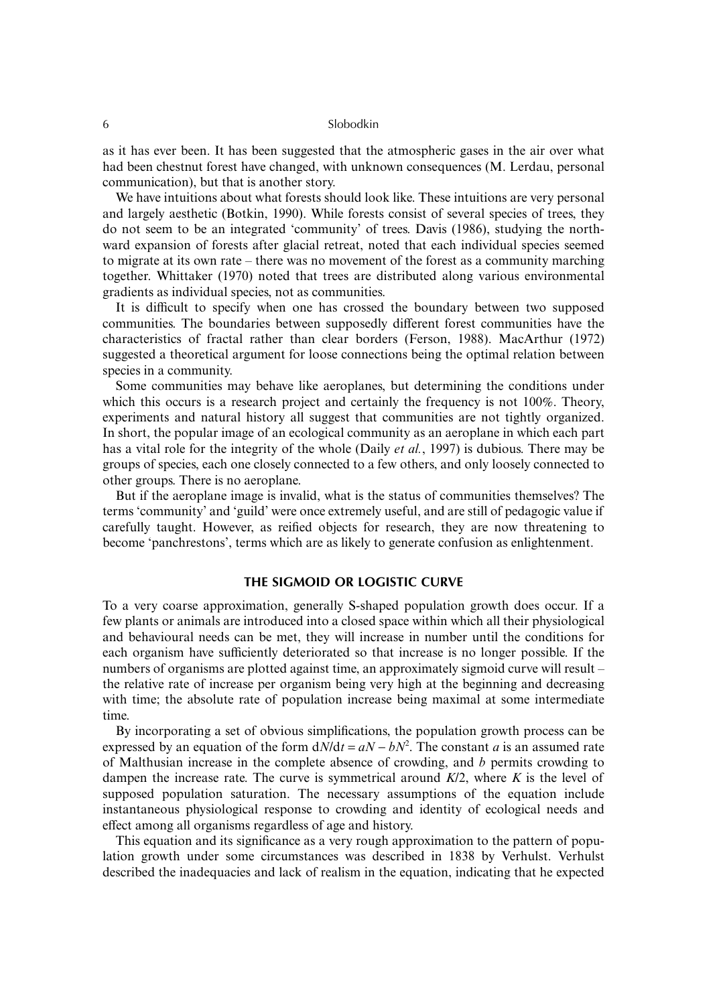as it has ever been. It has been suggested that the atmospheric gases in the air over what had been chestnut forest have changed, with unknown consequences (M. Lerdau, personal communication), but that is another story.

We have intuitions about what forests should look like. These intuitions are very personal and largely aesthetic (Botkin, 1990). While forests consist of several species of trees, they do not seem to be an integrated 'community' of trees. Davis (1986), studying the northward expansion of forests after glacial retreat, noted that each individual species seemed to migrate at its own rate – there was no movement of the forest as a community marching together. Whittaker (1970) noted that trees are distributed along various environmental gradients as individual species, not as communities.

It is difficult to specify when one has crossed the boundary between two supposed communities. The boundaries between supposedly different forest communities have the characteristics of fractal rather than clear borders (Ferson, 1988). MacArthur (1972) suggested a theoretical argument for loose connections being the optimal relation between species in a community.

Some communities may behave like aeroplanes, but determining the conditions under which this occurs is a research project and certainly the frequency is not 100%. Theory, experiments and natural history all suggest that communities are not tightly organized. In short, the popular image of an ecological community as an aeroplane in which each part has a vital role for the integrity of the whole (Daily *et al.*, 1997) is dubious. There may be groups of species, each one closely connected to a few others, and only loosely connected to other groups. There is no aeroplane.

But if the aeroplane image is invalid, what is the status of communities themselves? The terms 'community' and 'guild' were once extremely useful, and are still of pedagogic value if carefully taught. However, as reified objects for research, they are now threatening to become 'panchrestons', terms which are as likely to generate confusion as enlightenment.

## **THE SIGMOID OR LOGISTIC CURVE**

To a very coarse approximation, generally S-shaped population growth does occur. If a few plants or animals are introduced into a closed space within which all their physiological and behavioural needs can be met, they will increase in number until the conditions for each organism have sufficiently deteriorated so that increase is no longer possible. If the numbers of organisms are plotted against time, an approximately sigmoid curve will result – the relative rate of increase per organism being very high at the beginning and decreasing with time; the absolute rate of population increase being maximal at some intermediate time.

By incorporating a set of obvious simplifications, the population growth process can be expressed by an equation of the form  $dN/dt = aN - bN^2$ . The constant *a* is an assumed rate of Malthusian increase in the complete absence of crowding, and *b* permits crowding to dampen the increase rate. The curve is symmetrical around *K*/2, where *K* is the level of supposed population saturation. The necessary assumptions of the equation include instantaneous physiological response to crowding and identity of ecological needs and effect among all organisms regardless of age and history.

This equation and its significance as a very rough approximation to the pattern of population growth under some circumstances was described in 1838 by Verhulst. Verhulst described the inadequacies and lack of realism in the equation, indicating that he expected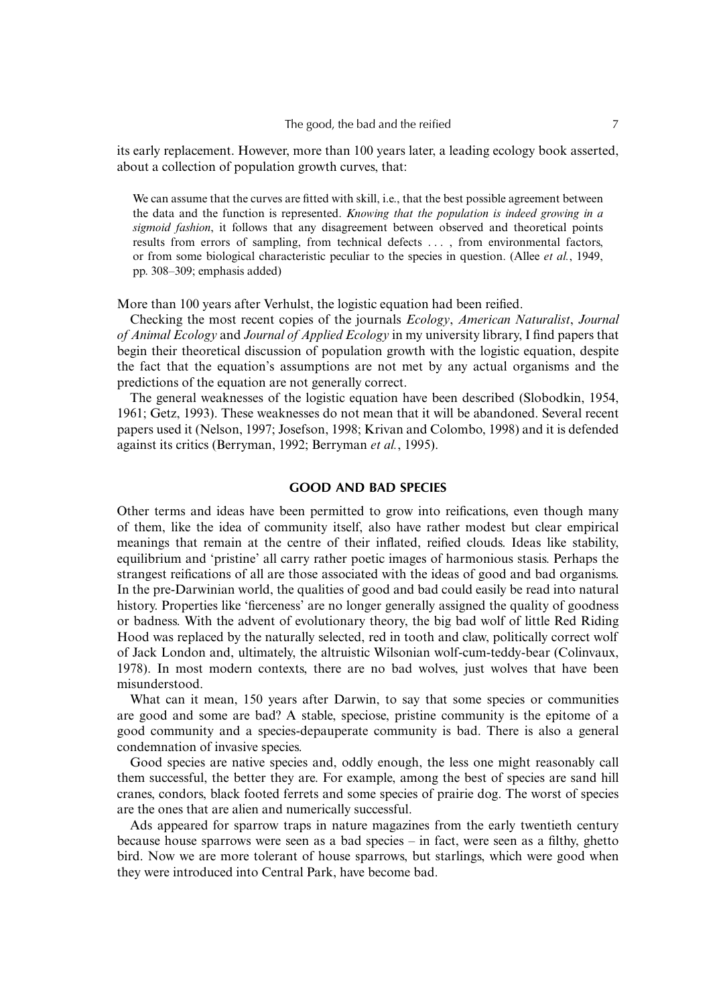its early replacement. However, more than 100 years later, a leading ecology book asserted, about a collection of population growth curves, that:

We can assume that the curves are fitted with skill, i.e., that the best possible agreement between the data and the function is represented. *Knowing that the population is indeed growing in a sigmoid fashion*, it follows that any disagreement between observed and theoretical points results from errors of sampling, from technical defects . . . , from environmental factors, or from some biological characteristic peculiar to the species in question. (Allee *et al.*, 1949, pp. 308–309; emphasis added)

More than 100 years after Verhulst, the logistic equation had been reified.

Checking the most recent copies of the journals *Ecology*, *American Naturalist*, *Journal of Animal Ecology* and *Journal of Applied Ecology* in my university library, I find papers that begin their theoretical discussion of population growth with the logistic equation, despite the fact that the equation's assumptions are not met by any actual organisms and the predictions of the equation are not generally correct.

The general weaknesses of the logistic equation have been described (Slobodkin, 1954, 1961; Getz, 1993). These weaknesses do not mean that it will be abandoned. Several recent papers used it (Nelson, 1997; Josefson, 1998; Krivan and Colombo, 1998) and it is defended against its critics (Berryman, 1992; Berryman *et al.*, 1995).

# **GOOD AND BAD SPECIES**

Other terms and ideas have been permitted to grow into reifications, even though many of them, like the idea of community itself, also have rather modest but clear empirical meanings that remain at the centre of their inflated, reified clouds. Ideas like stability, equilibrium and 'pristine' all carry rather poetic images of harmonious stasis. Perhaps the strangest reifications of all are those associated with the ideas of good and bad organisms. In the pre-Darwinian world, the qualities of good and bad could easily be read into natural history. Properties like 'fierceness' are no longer generally assigned the quality of goodness or badness. With the advent of evolutionary theory, the big bad wolf of little Red Riding Hood was replaced by the naturally selected, red in tooth and claw, politically correct wolf of Jack London and, ultimately, the altruistic Wilsonian wolf-cum-teddy-bear (Colinvaux, 1978). In most modern contexts, there are no bad wolves, just wolves that have been misunderstood.

What can it mean, 150 years after Darwin, to say that some species or communities are good and some are bad? A stable, speciose, pristine community is the epitome of a good community and a species-depauperate community is bad. There is also a general condemnation of invasive species.

Good species are native species and, oddly enough, the less one might reasonably call them successful, the better they are. For example, among the best of species are sand hill cranes, condors, black footed ferrets and some species of prairie dog. The worst of species are the ones that are alien and numerically successful.

Ads appeared for sparrow traps in nature magazines from the early twentieth century because house sparrows were seen as a bad species – in fact, were seen as a filthy, ghetto bird. Now we are more tolerant of house sparrows, but starlings, which were good when they were introduced into Central Park, have become bad.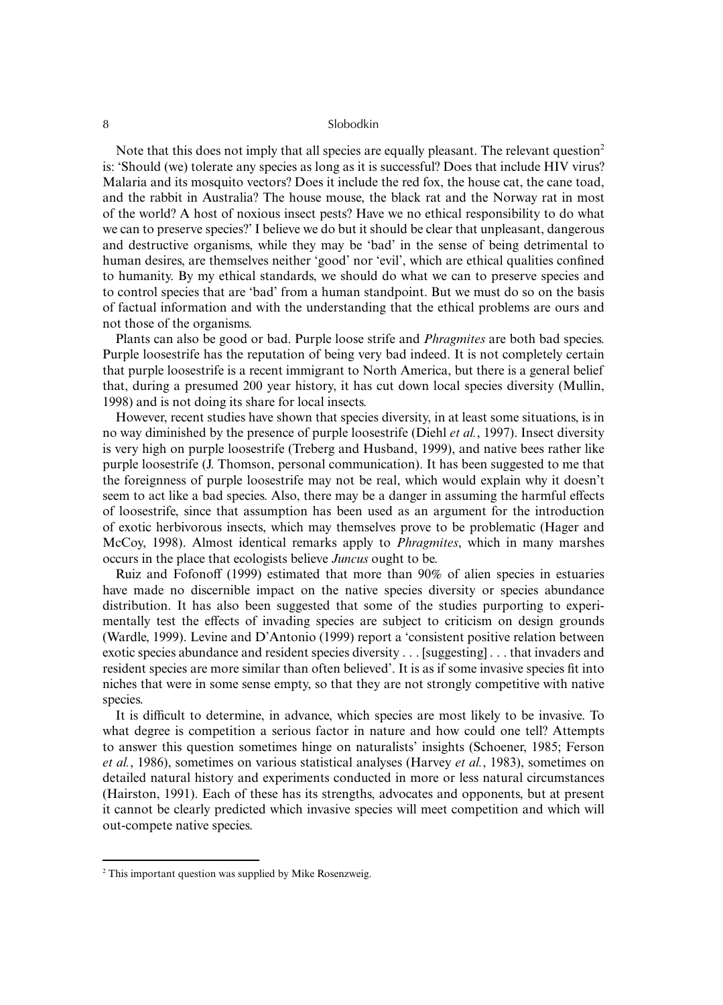#### 8 Slobodkin

Note that this does not imply that all species are equally pleasant. The relevant question<sup>2</sup> is: 'Should (we) tolerate any species as long as it is successful? Does that include HIV virus? Malaria and its mosquito vectors? Does it include the red fox, the house cat, the cane toad, and the rabbit in Australia? The house mouse, the black rat and the Norway rat in most of the world? A host of noxious insect pests? Have we no ethical responsibility to do what we can to preserve species?' I believe we do but it should be clear that unpleasant, dangerous and destructive organisms, while they may be 'bad' in the sense of being detrimental to human desires, are themselves neither 'good' nor 'evil', which are ethical qualities confined to humanity. By my ethical standards, we should do what we can to preserve species and to control species that are 'bad' from a human standpoint. But we must do so on the basis of factual information and with the understanding that the ethical problems are ours and not those of the organisms.

Plants can also be good or bad. Purple loose strife and *Phragmites* are both bad species. Purple loosestrife has the reputation of being very bad indeed. It is not completely certain that purple loosestrife is a recent immigrant to North America, but there is a general belief that, during a presumed 200 year history, it has cut down local species diversity (Mullin, 1998) and is not doing its share for local insects.

However, recent studies have shown that species diversity, in at least some situations, is in no way diminished by the presence of purple loosestrife (Diehl *et al.*, 1997). Insect diversity is very high on purple loosestrife (Treberg and Husband, 1999), and native bees rather like purple loosestrife (J. Thomson, personal communication). It has been suggested to me that the foreignness of purple loosestrife may not be real, which would explain why it doesn't seem to act like a bad species. Also, there may be a danger in assuming the harmful effects of loosestrife, since that assumption has been used as an argument for the introduction of exotic herbivorous insects, which may themselves prove to be problematic (Hager and McCoy, 1998). Almost identical remarks apply to *Phragmites*, which in many marshes occurs in the place that ecologists believe *Juncus* ought to be.

Ruiz and Fofonoff (1999) estimated that more than 90% of alien species in estuaries have made no discernible impact on the native species diversity or species abundance distribution. It has also been suggested that some of the studies purporting to experimentally test the effects of invading species are subject to criticism on design grounds (Wardle, 1999). Levine and D'Antonio (1999) report a 'consistent positive relation between exotic species abundance and resident species diversity . . . [suggesting] . . . that invaders and resident species are more similar than often believed'. It is as if some invasive species fit into niches that were in some sense empty, so that they are not strongly competitive with native species.

It is difficult to determine, in advance, which species are most likely to be invasive. To what degree is competition a serious factor in nature and how could one tell? Attempts to answer this question sometimes hinge on naturalists' insights (Schoener, 1985; Ferson *et al.*, 1986), sometimes on various statistical analyses (Harvey *et al.*, 1983), sometimes on detailed natural history and experiments conducted in more or less natural circumstances (Hairston, 1991). Each of these has its strengths, advocates and opponents, but at present it cannot be clearly predicted which invasive species will meet competition and which will out-compete native species.

<sup>2</sup> This important question was supplied by Mike Rosenzweig.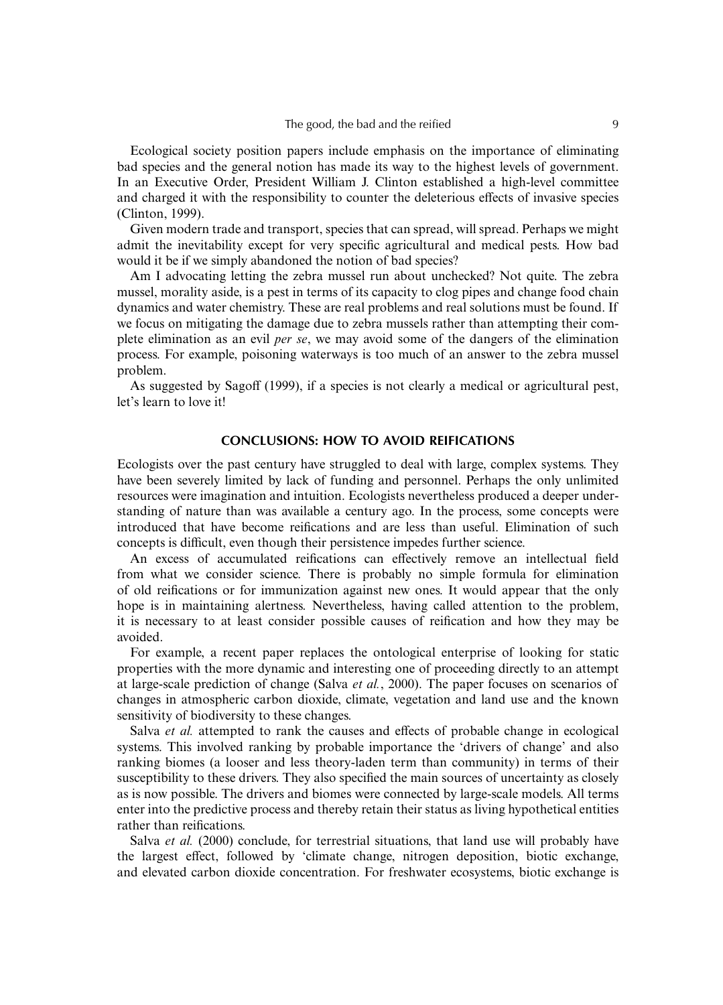Ecological society position papers include emphasis on the importance of eliminating bad species and the general notion has made its way to the highest levels of government. In an Executive Order, President William J. Clinton established a high-level committee and charged it with the responsibility to counter the deleterious effects of invasive species (Clinton, 1999).

Given modern trade and transport, species that can spread, will spread. Perhaps we might admit the inevitability except for very specific agricultural and medical pests. How bad would it be if we simply abandoned the notion of bad species?

Am I advocating letting the zebra mussel run about unchecked? Not quite. The zebra mussel, morality aside, is a pest in terms of its capacity to clog pipes and change food chain dynamics and water chemistry. These are real problems and real solutions must be found. If we focus on mitigating the damage due to zebra mussels rather than attempting their complete elimination as an evil *per se*, we may avoid some of the dangers of the elimination process. For example, poisoning waterways is too much of an answer to the zebra mussel problem.

As suggested by Sagoff (1999), if a species is not clearly a medical or agricultural pest, let's learn to love it!

# **CONCLUSIONS: HOW TO AVOID REIFICATIONS**

Ecologists over the past century have struggled to deal with large, complex systems. They have been severely limited by lack of funding and personnel. Perhaps the only unlimited resources were imagination and intuition. Ecologists nevertheless produced a deeper understanding of nature than was available a century ago. In the process, some concepts were introduced that have become reifications and are less than useful. Elimination of such concepts is difficult, even though their persistence impedes further science.

An excess of accumulated reifications can effectively remove an intellectual field from what we consider science. There is probably no simple formula for elimination of old reifications or for immunization against new ones. It would appear that the only hope is in maintaining alertness. Nevertheless, having called attention to the problem, it is necessary to at least consider possible causes of reification and how they may be avoided.

For example, a recent paper replaces the ontological enterprise of looking for static properties with the more dynamic and interesting one of proceeding directly to an attempt at large-scale prediction of change (Salva *et al.*, 2000). The paper focuses on scenarios of changes in atmospheric carbon dioxide, climate, vegetation and land use and the known sensitivity of biodiversity to these changes.

Salva *et al.* attempted to rank the causes and effects of probable change in ecological systems. This involved ranking by probable importance the 'drivers of change' and also ranking biomes (a looser and less theory-laden term than community) in terms of their susceptibility to these drivers. They also specified the main sources of uncertainty as closely as is now possible. The drivers and biomes were connected by large-scale models. All terms enter into the predictive process and thereby retain their status as living hypothetical entities rather than reifications.

Salva *et al.* (2000) conclude, for terrestrial situations, that land use will probably have the largest effect, followed by 'climate change, nitrogen deposition, biotic exchange, and elevated carbon dioxide concentration. For freshwater ecosystems, biotic exchange is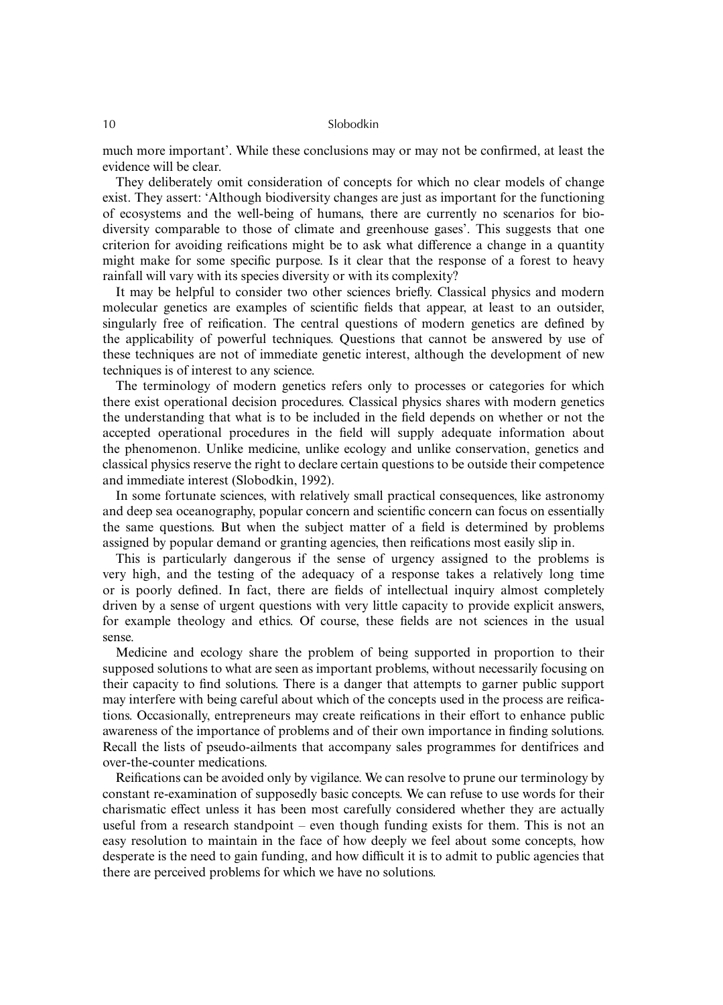much more important'. While these conclusions may or may not be confirmed, at least the evidence will be clear.

They deliberately omit consideration of concepts for which no clear models of change exist. They assert: 'Although biodiversity changes are just as important for the functioning of ecosystems and the well-being of humans, there are currently no scenarios for biodiversity comparable to those of climate and greenhouse gases'. This suggests that one criterion for avoiding reifications might be to ask what difference a change in a quantity might make for some specific purpose. Is it clear that the response of a forest to heavy rainfall will vary with its species diversity or with its complexity?

It may be helpful to consider two other sciences briefly. Classical physics and modern molecular genetics are examples of scientific fields that appear, at least to an outsider, singularly free of reification. The central questions of modern genetics are defined by the applicability of powerful techniques. Questions that cannot be answered by use of these techniques are not of immediate genetic interest, although the development of new techniques is of interest to any science.

The terminology of modern genetics refers only to processes or categories for which there exist operational decision procedures. Classical physics shares with modern genetics the understanding that what is to be included in the field depends on whether or not the accepted operational procedures in the field will supply adequate information about the phenomenon. Unlike medicine, unlike ecology and unlike conservation, genetics and classical physics reserve the right to declare certain questions to be outside their competence and immediate interest (Slobodkin, 1992).

In some fortunate sciences, with relatively small practical consequences, like astronomy and deep sea oceanography, popular concern and scientific concern can focus on essentially the same questions. But when the subject matter of a field is determined by problems assigned by popular demand or granting agencies, then reifications most easily slip in.

This is particularly dangerous if the sense of urgency assigned to the problems is very high, and the testing of the adequacy of a response takes a relatively long time or is poorly defined. In fact, there are fields of intellectual inquiry almost completely driven by a sense of urgent questions with very little capacity to provide explicit answers, for example theology and ethics. Of course, these fields are not sciences in the usual sense.

Medicine and ecology share the problem of being supported in proportion to their supposed solutions to what are seen as important problems, without necessarily focusing on their capacity to find solutions. There is a danger that attempts to garner public support may interfere with being careful about which of the concepts used in the process are reifications. Occasionally, entrepreneurs may create reifications in their effort to enhance public awareness of the importance of problems and of their own importance in finding solutions. Recall the lists of pseudo-ailments that accompany sales programmes for dentifrices and over-the-counter medications.

Reifications can be avoided only by vigilance. We can resolve to prune our terminology by constant re-examination of supposedly basic concepts. We can refuse to use words for their charismatic effect unless it has been most carefully considered whether they are actually useful from a research standpoint – even though funding exists for them. This is not an easy resolution to maintain in the face of how deeply we feel about some concepts, how desperate is the need to gain funding, and how difficult it is to admit to public agencies that there are perceived problems for which we have no solutions.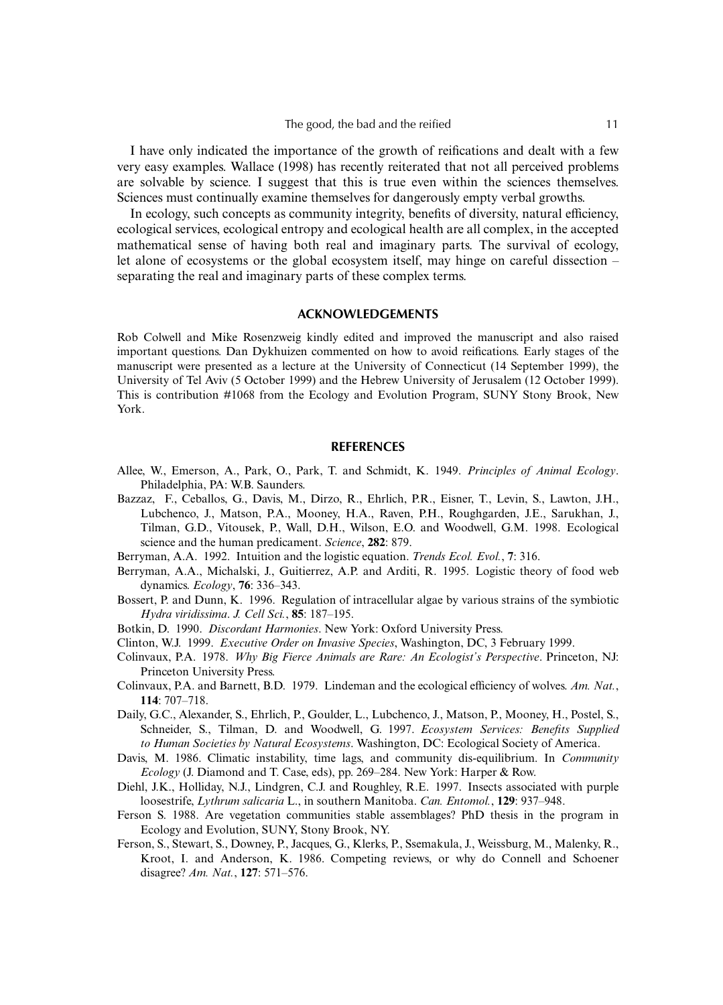I have only indicated the importance of the growth of reifications and dealt with a few very easy examples. Wallace (1998) has recently reiterated that not all perceived problems are solvable by science. I suggest that this is true even within the sciences themselves. Sciences must continually examine themselves for dangerously empty verbal growths.

In ecology, such concepts as community integrity, benefits of diversity, natural efficiency, ecological services, ecological entropy and ecological health are all complex, in the accepted mathematical sense of having both real and imaginary parts. The survival of ecology, let alone of ecosystems or the global ecosystem itself, may hinge on careful dissection – separating the real and imaginary parts of these complex terms.

## **ACKNOWLEDGEMENTS**

Rob Colwell and Mike Rosenzweig kindly edited and improved the manuscript and also raised important questions. Dan Dykhuizen commented on how to avoid reifications. Early stages of the manuscript were presented as a lecture at the University of Connecticut (14 September 1999), the University of Tel Aviv (5 October 1999) and the Hebrew University of Jerusalem (12 October 1999). This is contribution #1068 from the Ecology and Evolution Program, SUNY Stony Brook, New York.

## **REFERENCES**

- Allee, W., Emerson, A., Park, O., Park, T. and Schmidt, K. 1949. *Principles of Animal Ecology*. Philadelphia, PA: W.B. Saunders.
- Bazzaz, F., Ceballos, G., Davis, M., Dirzo, R., Ehrlich, P.R., Eisner, T., Levin, S., Lawton, J.H., Lubchenco, J., Matson, P.A., Mooney, H.A., Raven, P.H., Roughgarden, J.E., Sarukhan, J., Tilman, G.D., Vitousek, P., Wall, D.H., Wilson, E.O. and Woodwell, G.M. 1998. Ecological science and the human predicament. *Science*, **282**: 879.
- Berryman, A.A. 1992. Intuition and the logistic equation. *Trends Ecol. Evol.*, **7**: 316.
- Berryman, A.A., Michalski, J., Guitierrez, A.P. and Arditi, R. 1995. Logistic theory of food web dynamics. *Ecology*, **76**: 336–343.
- Bossert, P. and Dunn, K. 1996. Regulation of intracellular algae by various strains of the symbiotic *Hydra viridissima*. *J. Cell Sci.*, **85**: 187–195.
- Botkin, D. 1990. *Discordant Harmonies*. New York: Oxford University Press.
- Clinton, W.J. 1999. *Executive Order on Invasive Species*, Washington, DC, 3 February 1999.
- Colinvaux, P.A. 1978. *Why Big Fierce Animals are Rare: An Ecologist's Perspective*. Princeton, NJ: Princeton University Press.
- Colinvaux, P.A. and Barnett, B.D. 1979. Lindeman and the ecological efficiency of wolves. *Am. Nat.*, **114**: 707–718.
- Daily, G.C., Alexander, S., Ehrlich, P., Goulder, L., Lubchenco, J., Matson, P., Mooney, H., Postel, S., Schneider, S., Tilman, D. and Woodwell, G. 1997. *Ecosystem Services: Benefits Supplied to Human Societies by Natural Ecosystems*. Washington, DC: Ecological Society of America.
- Davis, M. 1986. Climatic instability, time lags, and community dis-equilibrium. In *Community Ecology* (J. Diamond and T. Case, eds), pp. 269–284. New York: Harper & Row.
- Diehl, J.K., Holliday, N.J., Lindgren, C.J. and Roughley, R.E. 1997. Insects associated with purple loosestrife, *Lythrum salicaria* L., in southern Manitoba. *Can. Entomol.*, **129**: 937–948.
- Ferson S. 1988. Are vegetation communities stable assemblages? PhD thesis in the program in Ecology and Evolution, SUNY, Stony Brook, NY.
- Ferson, S., Stewart, S., Downey, P., Jacques, G., Klerks, P., Ssemakula, J., Weissburg, M., Malenky, R., Kroot, I. and Anderson, K. 1986. Competing reviews, or why do Connell and Schoener disagree? *Am. Nat.*, **127**: 571–576.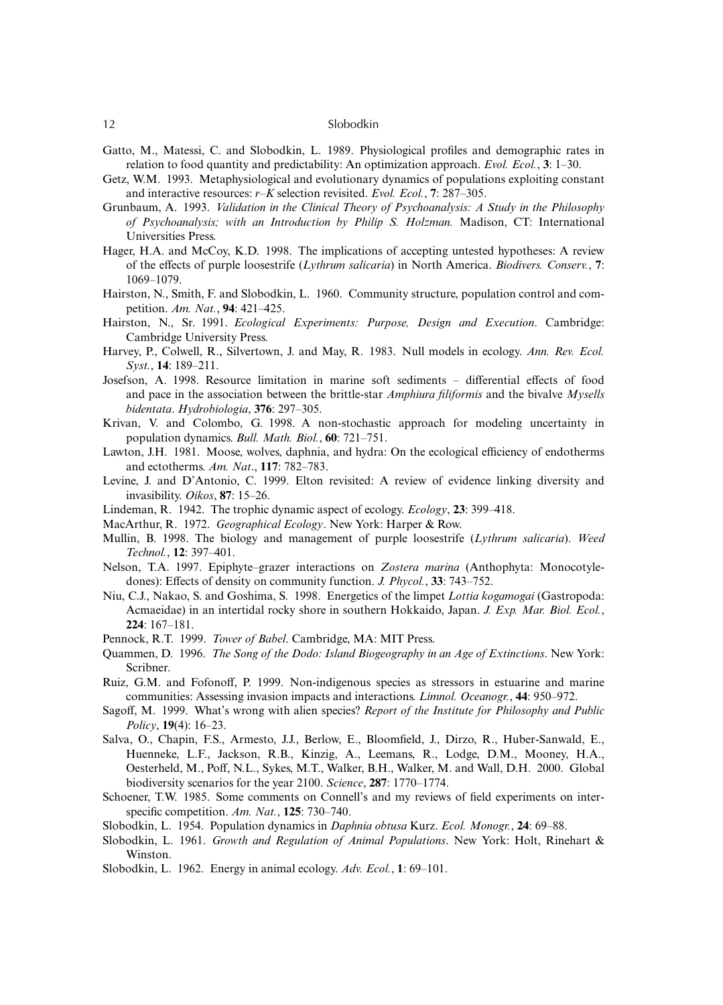#### 12 Slobodkin

- Gatto, M., Matessi, C. and Slobodkin, L. 1989. Physiological profiles and demographic rates in relation to food quantity and predictability: An optimization approach. *Evol. Ecol.*, **3**: 1–30.
- Getz, W.M. 1993. Metaphysiological and evolutionary dynamics of populations exploiting constant and interactive resources: *r*–*K* selection revisited. *Evol. Ecol.*, **7**: 287–305.
- Grunbaum, A. 1993. *Validation in the Clinical Theory of Psychoanalysis: A Study in the Philosophy of Psychoanalysis; with an Introduction by Philip S. Holzman.* Madison, CT: International Universities Press.
- Hager, H.A. and McCoy, K.D. 1998. The implications of accepting untested hypotheses: A review of the effects of purple loosestrife (*Lythrum salicaria*) in North America. *Biodivers. Conserv.*, **7**: 1069–1079.
- Hairston, N., Smith, F. and Slobodkin, L. 1960. Community structure, population control and competition. *Am. Nat.*, **94**: 421–425.
- Hairston, N., Sr. 1991. *Ecological Experiments: Purpose, Design and Execution*. Cambridge: Cambridge University Press.
- Harvey, P., Colwell, R., Silvertown, J. and May, R. 1983. Null models in ecology. *Ann. Rev. Ecol. Syst.*, **14**: 189–211.
- Josefson, A. 1998. Resource limitation in marine soft sediments differential effects of food and pace in the association between the brittle-star *Amphiura filiformis* and the bivalve *Mysells bidentata*. *Hydrobiologia*, **376**: 297–305.
- Krivan, V. and Colombo, G. 1998. A non-stochastic approach for modeling uncertainty in population dynamics. *Bull. Math. Biol.*, **60**: 721–751.
- Lawton, J.H. 1981. Moose, wolves, daphnia, and hydra: On the ecological efficiency of endotherms and ectotherms. *Am. Nat*., **117**: 782–783.
- Levine, J. and D'Antonio, C. 1999. Elton revisited: A review of evidence linking diversity and invasibility. *Oikos*, **87**: 15–26.
- Lindeman, R. 1942. The trophic dynamic aspect of ecology. *Ecology*, **23**: 399–418.
- MacArthur, R. 1972. *Geographical Ecology*. New York: Harper & Row.
- Mullin, B. 1998. The biology and management of purple loosestrife (*Lythrum salicaria*). *Weed Technol.*, **12**: 397–401.
- Nelson, T.A. 1997. Epiphyte–grazer interactions on *Zostera marina* (Anthophyta: Monocotyledones): Effects of density on community function. *J. Phycol.*, **33**: 743–752.
- Niu, C.J., Nakao, S. and Goshima, S. 1998. Energetics of the limpet *Lottia kogamogai* (Gastropoda: Acmaeidae) in an intertidal rocky shore in southern Hokkaido, Japan. *J. Exp. Mar. Biol. Ecol.*, **224**: 167–181.
- Pennock, R.T. 1999. *Tower of Babel*. Cambridge, MA: MIT Press.
- Quammen, D. 1996. *The Song of the Dodo: Island Biogeography in an Age of Extinctions*. New York: Scribner.
- Ruiz, G.M. and Fofonoff, P. 1999. Non-indigenous species as stressors in estuarine and marine communities: Assessing invasion impacts and interactions. *Limnol. Oceanogr.*, **44**: 950–972.
- Sagoff, M. 1999. What's wrong with alien species? *Report of the Institute for Philosophy and Public Policy*, **19**(4): 16–23.
- Salva, O., Chapin, F.S., Armesto, J.J., Berlow, E., Bloomfield, J., Dirzo, R., Huber-Sanwald, E., Huenneke, L.F., Jackson, R.B., Kinzig, A., Leemans, R., Lodge, D.M., Mooney, H.A., Oesterheld, M., Poff, N.L., Sykes, M.T., Walker, B.H., Walker, M. and Wall, D.H. 2000. Global biodiversity scenarios for the year 2100. *Science*, **287**: 1770–1774.
- Schoener, T.W. 1985. Some comments on Connell's and my reviews of field experiments on interspecific competition. *Am. Nat.*, **125**: 730–740.
- Slobodkin, L. 1954. Population dynamics in *Daphnia obtusa* Kurz. *Ecol. Monogr.*, **24**: 69–88.
- Slobodkin, L. 1961. *Growth and Regulation of Animal Populations*. New York: Holt, Rinehart & Winston.
- Slobodkin, L. 1962. Energy in animal ecology. *Adv. Ecol.*, **1**: 69–101.